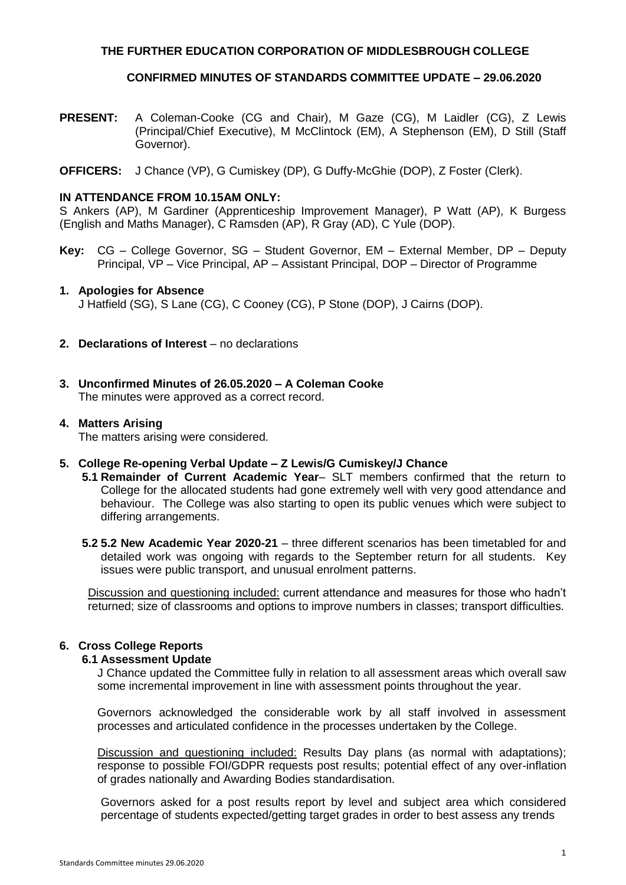## **THE FURTHER EDUCATION CORPORATION OF MIDDLESBROUGH COLLEGE**

# **CONFIRMED MINUTES OF STANDARDS COMMITTEE UPDATE – 29.06.2020**

- **PRESENT:** A Coleman-Cooke (CG and Chair), M Gaze (CG), M Laidler (CG), Z Lewis (Principal/Chief Executive), M McClintock (EM), A Stephenson (EM), D Still (Staff Governor).
- **OFFICERS:** J Chance (VP), G Cumiskey (DP), G Duffy-McGhie (DOP), Z Foster (Clerk).

#### **IN ATTENDANCE FROM 10.15AM ONLY:**

S Ankers (AP), M Gardiner (Apprenticeship Improvement Manager), P Watt (AP), K Burgess (English and Maths Manager), C Ramsden (AP), R Gray (AD), C Yule (DOP).

**Key:** CG – College Governor, SG – Student Governor, EM – External Member, DP – Deputy Principal, VP – Vice Principal, AP – Assistant Principal, DOP – Director of Programme

### **1. Apologies for Absence**

J Hatfield (SG), S Lane (CG), C Cooney (CG), P Stone (DOP), J Cairns (DOP).

- **2. Declarations of Interest** no declarations
- **3. Unconfirmed Minutes of 26.05.2020 – A Coleman Cooke** The minutes were approved as a correct record.

# **4. Matters Arising**

The matters arising were considered.

- **5. College Re-opening Verbal Update – Z Lewis/G Cumiskey/J Chance**
	- **5.1 Remainder of Current Academic Year** SLT members confirmed that the return to College for the allocated students had gone extremely well with very good attendance and behaviour. The College was also starting to open its public venues which were subject to differing arrangements.
	- **5.2 5.2 New Academic Year 2020-21** three different scenarios has been timetabled for and detailed work was ongoing with regards to the September return for all students. Key issues were public transport, and unusual enrolment patterns.

Discussion and questioning included: current attendance and measures for those who hadn't returned; size of classrooms and options to improve numbers in classes; transport difficulties.

# **6. Cross College Reports**

#### **6.1 Assessment Update**

J Chance updated the Committee fully in relation to all assessment areas which overall saw some incremental improvement in line with assessment points throughout the year.

Governors acknowledged the considerable work by all staff involved in assessment processes and articulated confidence in the processes undertaken by the College.

Discussion and questioning included: Results Day plans (as normal with adaptations); response to possible FOI/GDPR requests post results; potential effect of any over-inflation of grades nationally and Awarding Bodies standardisation.

Governors asked for a post results report by level and subject area which considered percentage of students expected/getting target grades in order to best assess any trends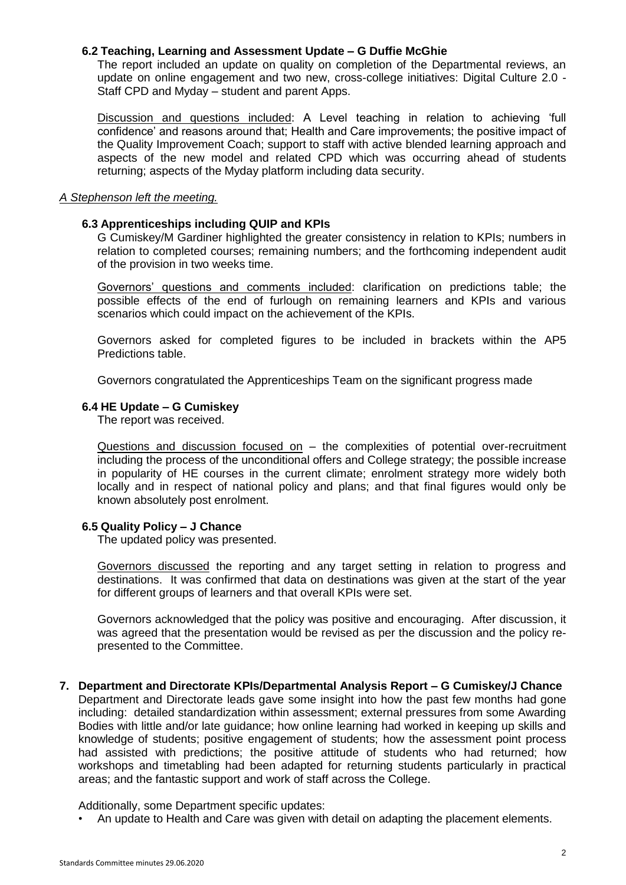#### **6.2 Teaching, Learning and Assessment Update – G Duffie McGhie**

The report included an update on quality on completion of the Departmental reviews, an update on online engagement and two new, cross-college initiatives: Digital Culture 2.0 - Staff CPD and Myday – student and parent Apps.

Discussion and questions included: A Level teaching in relation to achieving 'full confidence' and reasons around that; Health and Care improvements; the positive impact of the Quality Improvement Coach; support to staff with active blended learning approach and aspects of the new model and related CPD which was occurring ahead of students returning; aspects of the Myday platform including data security.

#### *A Stephenson left the meeting.*

## **6.3 Apprenticeships including QUIP and KPIs**

G Cumiskey/M Gardiner highlighted the greater consistency in relation to KPIs; numbers in relation to completed courses; remaining numbers; and the forthcoming independent audit of the provision in two weeks time.

Governors' questions and comments included: clarification on predictions table; the possible effects of the end of furlough on remaining learners and KPIs and various scenarios which could impact on the achievement of the KPIs.

Governors asked for completed figures to be included in brackets within the AP5 Predictions table.

Governors congratulated the Apprenticeships Team on the significant progress made

### **6.4 HE Update – G Cumiskey**

The report was received.

Questions and discussion focused on – the complexities of potential over-recruitment including the process of the unconditional offers and College strategy; the possible increase in popularity of HE courses in the current climate; enrolment strategy more widely both locally and in respect of national policy and plans; and that final figures would only be known absolutely post enrolment.

## **6.5 Quality Policy – J Chance**

The updated policy was presented.

Governors discussed the reporting and any target setting in relation to progress and destinations. It was confirmed that data on destinations was given at the start of the year for different groups of learners and that overall KPIs were set.

Governors acknowledged that the policy was positive and encouraging. After discussion, it was agreed that the presentation would be revised as per the discussion and the policy represented to the Committee.

**7. Department and Directorate KPIs/Departmental Analysis Report – G Cumiskey/J Chance**

Department and Directorate leads gave some insight into how the past few months had gone including: detailed standardization within assessment; external pressures from some Awarding Bodies with little and/or late guidance; how online learning had worked in keeping up skills and knowledge of students; positive engagement of students; how the assessment point process had assisted with predictions; the positive attitude of students who had returned; how workshops and timetabling had been adapted for returning students particularly in practical areas; and the fantastic support and work of staff across the College.

Additionally, some Department specific updates:

• An update to Health and Care was given with detail on adapting the placement elements.